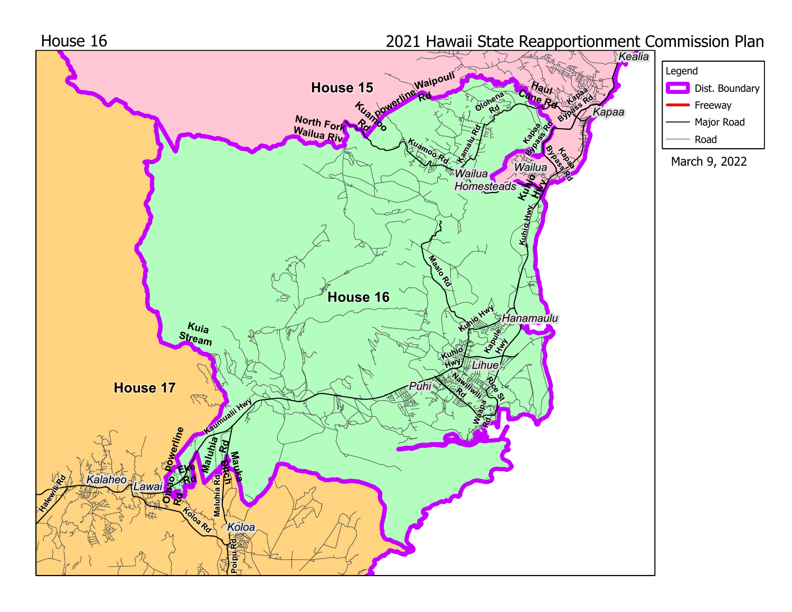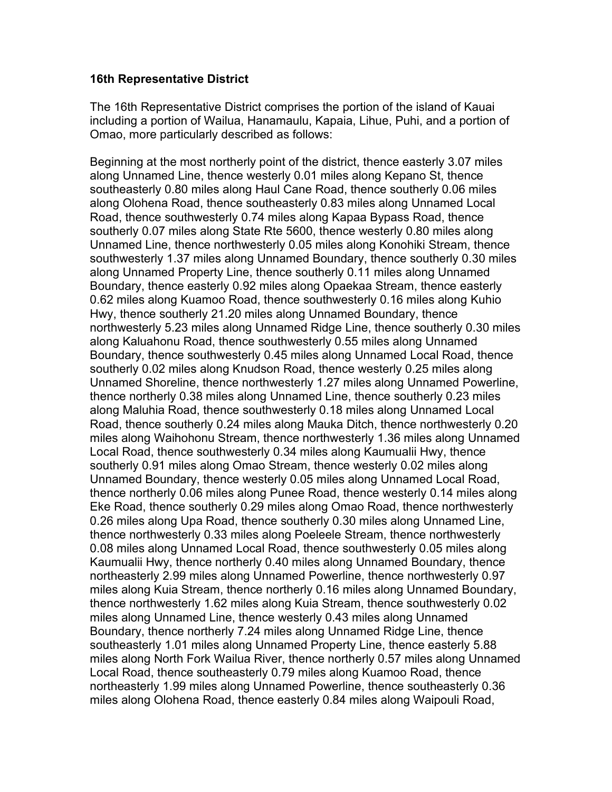## **16th Representative District**

The 16th Representative District comprises the portion of the island of Kauai including a portion of Wailua, Hanamaulu, Kapaia, Lihue, Puhi, and a portion of Omao, more particularly described as follows:

Beginning at the most northerly point of the district, thence easterly 3.07 miles along Unnamed Line, thence westerly 0.01 miles along Kepano St, thence southeasterly 0.80 miles along Haul Cane Road, thence southerly 0.06 miles along Olohena Road, thence southeasterly 0.83 miles along Unnamed Local Road, thence southwesterly 0.74 miles along Kapaa Bypass Road, thence southerly 0.07 miles along State Rte 5600, thence westerly 0.80 miles along Unnamed Line, thence northwesterly 0.05 miles along Konohiki Stream, thence southwesterly 1.37 miles along Unnamed Boundary, thence southerly 0.30 miles along Unnamed Property Line, thence southerly 0.11 miles along Unnamed Boundary, thence easterly 0.92 miles along Opaekaa Stream, thence easterly 0.62 miles along Kuamoo Road, thence southwesterly 0.16 miles along Kuhio Hwy, thence southerly 21.20 miles along Unnamed Boundary, thence northwesterly 5.23 miles along Unnamed Ridge Line, thence southerly 0.30 miles along Kaluahonu Road, thence southwesterly 0.55 miles along Unnamed Boundary, thence southwesterly 0.45 miles along Unnamed Local Road, thence southerly 0.02 miles along Knudson Road, thence westerly 0.25 miles along Unnamed Shoreline, thence northwesterly 1.27 miles along Unnamed Powerline, thence northerly 0.38 miles along Unnamed Line, thence southerly 0.23 miles along Maluhia Road, thence southwesterly 0.18 miles along Unnamed Local Road, thence southerly 0.24 miles along Mauka Ditch, thence northwesterly 0.20 miles along Waihohonu Stream, thence northwesterly 1.36 miles along Unnamed Local Road, thence southwesterly 0.34 miles along Kaumualii Hwy, thence southerly 0.91 miles along Omao Stream, thence westerly 0.02 miles along Unnamed Boundary, thence westerly 0.05 miles along Unnamed Local Road, thence northerly 0.06 miles along Punee Road, thence westerly 0.14 miles along Eke Road, thence southerly 0.29 miles along Omao Road, thence northwesterly 0.26 miles along Upa Road, thence southerly 0.30 miles along Unnamed Line, thence northwesterly 0.33 miles along Poeleele Stream, thence northwesterly 0.08 miles along Unnamed Local Road, thence southwesterly 0.05 miles along Kaumualii Hwy, thence northerly 0.40 miles along Unnamed Boundary, thence northeasterly 2.99 miles along Unnamed Powerline, thence northwesterly 0.97 miles along Kuia Stream, thence northerly 0.16 miles along Unnamed Boundary, thence northwesterly 1.62 miles along Kuia Stream, thence southwesterly 0.02 miles along Unnamed Line, thence westerly 0.43 miles along Unnamed Boundary, thence northerly 7.24 miles along Unnamed Ridge Line, thence southeasterly 1.01 miles along Unnamed Property Line, thence easterly 5.88 miles along North Fork Wailua River, thence northerly 0.57 miles along Unnamed Local Road, thence southeasterly 0.79 miles along Kuamoo Road, thence northeasterly 1.99 miles along Unnamed Powerline, thence southeasterly 0.36 miles along Olohena Road, thence easterly 0.84 miles along Waipouli Road,